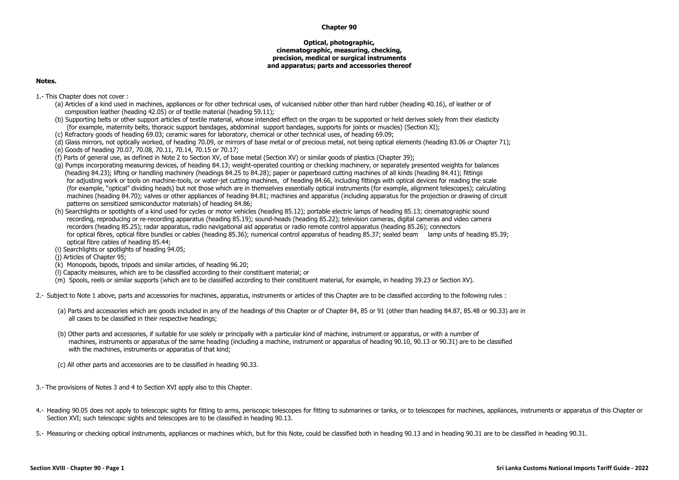## **Chapter 90**

## **Optical, photographic, cinematographic, measuring, checking, precision, medical or surgical instruments and apparatus; parts and accessories thereof**

## **Notes.**

- 1.- This Chapter does not cover :
	- (a) Articles of a kind used in machines, appliances or for other technical uses, of vulcanised rubber other than hard rubber (heading 40.16), of leather or of composition leather (heading 42.05) or of textile material (heading 59.11);
	- (b) Supporting belts or other support articles of textile material, whose intended effect on the organ to be supported or held derives solely from their elasticity (for example, maternity belts, thoracic support bandages, abdominal support bandages, supports for joints or muscles) (Section XI);
	- (c) Refractory goods of heading 69.03; ceramic wares for laboratory, chemical or other technical uses, of heading 69.09;
	- (d) Glass mirrors, not optically worked, of heading 70.09, or mirrors of base metal or of precious metal, not being optical elements (heading 83.06 or Chapter 71);
	- (e) Goods of heading 70.07, 70.08, 70.11, 70.14, 70.15 or 70.17;
	- (f) Parts of general use, as defined in Note 2 to Section XV, of base metal (Section XV) or similar goods of plastics (Chapter 39);
	- (g) Pumps incorporating measuring devices, of heading 84.13; weight-operated counting or checking machinery, or separately presented weights for balances (heading 84.23); lifting or handling machinery (headings 84.25 to 84.28); paper or paperboard cutting machines of all kinds (heading 84.41); fittings for adjusting work or tools on machine-tools, or water-jet cutting machines, of heading 84.66, including fittings with optical devices for reading the scale (for example, "optical" dividing heads) but not those which are in themselves essentially optical instruments (for example, alignment telescopes); calculating machines (heading 84.70); valves or other appliances of heading 84.81; machines and apparatus (including apparatus for the projection or drawing of circuit patterns on sensitized semiconductor materials) of heading 84.86;
	- (h) Searchlights or spotlights of a kind used for cycles or motor vehicles (heading 85.12); portable electric lamps of heading 85.13; cinematographic sound recording, reproducing or re-recording apparatus (heading 85.19); sound-heads (heading 85.22); television cameras, digital cameras and video camera recorders (heading 85.25); radar apparatus, radio navigational aid apparatus or radio remote control apparatus (heading 85.26); connectors for optical fibres, optical fibre bundles or cables (heading 85.36); numerical control apparatus of heading 85.37; sealed beam lamp units of heading 85.39; optical fibre cables of heading 85.44;

(i) Searchlights or spotlights of heading 94.05;

- (j) Articles of Chapter 95;
- (k) Monopods, bipods, tripods and similar articles, of heading 96.20;
- (l) Capacity measures, which are to be classified according to their constituent material; or
- (m) Spools, reels or similar supports (which are to be classified according to their constituent material, for example, in heading 39.23 or Section XV).

2.- Subject to Note 1 above, parts and accessories for machines, apparatus, instruments or articles of this Chapter are to be classified according to the following rules :

- (a) Parts and accessories which are goods included in any of the headings of this Chapter or of Chapter 84, 85 or 91 (other than heading 84.87, 85.48 or 90.33) are in all cases to be classified in their respective headings;
- (b) Other parts and accessories, if suitable for use solely or principally with a particular kind of machine, instrument or apparatus, or with a number of machines, instruments or apparatus of the same heading (including a machine, instrument or apparatus of heading 90.10, 90.13 or 90.31) are to be classified with the machines, instruments or apparatus of that kind:
- (c) All other parts and accessories are to be classified in heading 90.33.
- 3.- The provisions of Notes 3 and 4 to Section XVI apply also to this Chapter.
- 4.- Heading 90.05 does not apply to telescopic sights for fitting to arms, periscopic telescopes for fitting to submarines or tanks, or to telescopes for machines, appliances, instruments or apparatus of this Chapter or Section XVI; such telescopic sights and telescopes are to be classified in heading 90.13.

5.- Measuring or checking optical instruments, appliances or machines which, but for this Note, could be classified both in heading 90.13 and in heading 90.31 are to be classified in heading 90.31.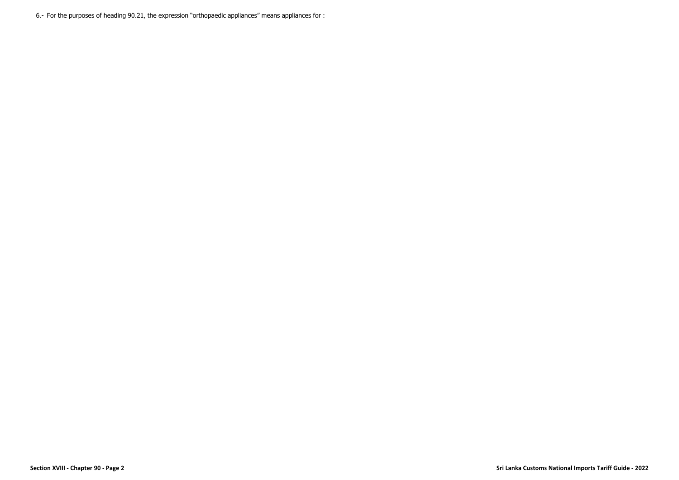6.- For the purposes of heading 90.21, the expression "orthopaedic appliances" means appliances for :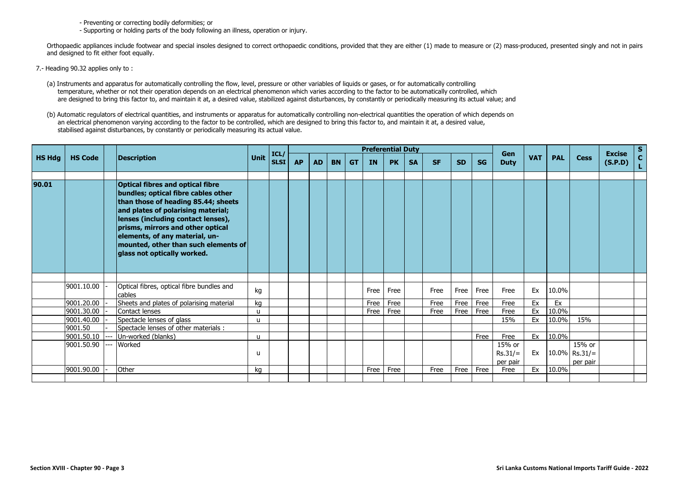- Preventing or correcting bodily deformities; or

- Supporting or holding parts of the body following an illness, operation or injury.

Orthopaedic appliances include footwear and special insoles designed to correct orthopaedic conditions, provided that they are either (1) made to measure or (2) mass-produced, presented singly and not in pairs and designed to fit either foot equally.

- 7.- Heading 90.32 applies only to :
	- (a) Instruments and apparatus for automatically controlling the flow, level, pressure or other variables of liquids or gases, or for automatically controlling temperature, whether or not their operation depends on an electrical phenomenon which varies according to the factor to be automatically controlled, which are designed to bring this factor to, and maintain it at, a desired value, stabilized against disturbances, by constantly or periodically measuring its actual value; and
	- (b) Automatic regulators of electrical quantities, and instruments or apparatus for automatically controlling non-electrical quantities the operation of which depends on an electrical phenomenon varying according to the factor to be controlled, which are designed to bring this factor to, and maintain it at, a desired value, stabilised against disturbances, by constantly or periodically measuring its actual value.

|               |                |    |                                                                                                                                                                                                                                                                                                                                                 |              | ICL/        |           |           |           |           |           | <b>Preferential Duty</b> |           |           |           |           | Gen              |            |            |                  | <b>Excise</b> | <b>S</b> |
|---------------|----------------|----|-------------------------------------------------------------------------------------------------------------------------------------------------------------------------------------------------------------------------------------------------------------------------------------------------------------------------------------------------|--------------|-------------|-----------|-----------|-----------|-----------|-----------|--------------------------|-----------|-----------|-----------|-----------|------------------|------------|------------|------------------|---------------|----------|
| <b>HS Hdg</b> | <b>HS Code</b> |    | <b>Description</b>                                                                                                                                                                                                                                                                                                                              | Unit         | <b>SLSI</b> | <b>AP</b> | <b>AD</b> | <b>BN</b> | <b>GT</b> | <b>IN</b> | <b>PK</b>                | <b>SA</b> | <b>SF</b> | <b>SD</b> | <b>SG</b> | <b>Duty</b>      | <b>VAT</b> | <b>PAL</b> | <b>Cess</b>      | (S.P.D)       |          |
|               |                |    |                                                                                                                                                                                                                                                                                                                                                 |              |             |           |           |           |           |           |                          |           |           |           |           |                  |            |            |                  |               |          |
| 90.01         |                |    | <b>Optical fibres and optical fibre</b><br>bundles; optical fibre cables other<br>than those of heading 85.44; sheets<br>and plates of polarising material;<br>lenses (including contact lenses),<br>prisms, mirrors and other optical<br>elements, of any material, un-<br>mounted, other than such elements of<br>glass not optically worked. |              |             |           |           |           |           |           |                          |           |           |           |           |                  |            |            |                  |               |          |
|               |                |    |                                                                                                                                                                                                                                                                                                                                                 |              |             |           |           |           |           |           |                          |           |           |           |           |                  |            |            |                  |               |          |
|               | 9001.10.00     |    | Optical fibres, optical fibre bundles and<br>cables                                                                                                                                                                                                                                                                                             | kg           |             |           |           |           |           | Free      | Free                     |           | Free      | Free      | Free      | Free             | Ex         | 10.0%      |                  |               |          |
|               | 9001.20.00     |    | Sheets and plates of polarising material                                                                                                                                                                                                                                                                                                        | ka           |             |           |           |           |           | Free      | Free                     |           | Free      | Free      | Free      | Free             | Ex         | Ex         |                  |               |          |
|               | 9001.30.00     |    | Contact lenses                                                                                                                                                                                                                                                                                                                                  | u            |             |           |           |           |           | Free      | Free                     |           | Free      | Free      | Free      | Free             | Ex         | 10.0%      |                  |               |          |
|               | 9001.40.00     |    | Spectacle lenses of glass                                                                                                                                                                                                                                                                                                                       | $\mathbf{u}$ |             |           |           |           |           |           |                          |           |           |           |           | 15%              | Ex         | 10.0%      | 15%              |               |          |
|               | 9001.50        |    | Spectacle lenses of other materials :                                                                                                                                                                                                                                                                                                           |              |             |           |           |           |           |           |                          |           |           |           |           |                  |            |            |                  |               |          |
|               | 9001.50.10     | -- | Un-worked (blanks)                                                                                                                                                                                                                                                                                                                              | u            |             |           |           |           |           |           |                          |           |           |           | Free      | Free             | Ex         | 10.0%      |                  |               |          |
|               | 9001.50.90     |    | Worked                                                                                                                                                                                                                                                                                                                                          |              |             |           |           |           |           |           |                          |           |           |           |           | 15% or           |            |            | 15% or           |               |          |
|               |                |    |                                                                                                                                                                                                                                                                                                                                                 | u            |             |           |           |           |           |           |                          |           |           |           |           | $Rs.31/=$        | Ex         |            | $10.0\%$ Rs.31/= |               |          |
|               | 9001.90.00     |    | Other                                                                                                                                                                                                                                                                                                                                           | kg           |             |           |           |           |           | Free      | Free                     |           | Free      | Free      | Free      | per pair<br>Free | Ex         | 10.0%      | per pair         |               |          |
|               |                |    |                                                                                                                                                                                                                                                                                                                                                 |              |             |           |           |           |           |           |                          |           |           |           |           |                  |            |            |                  |               |          |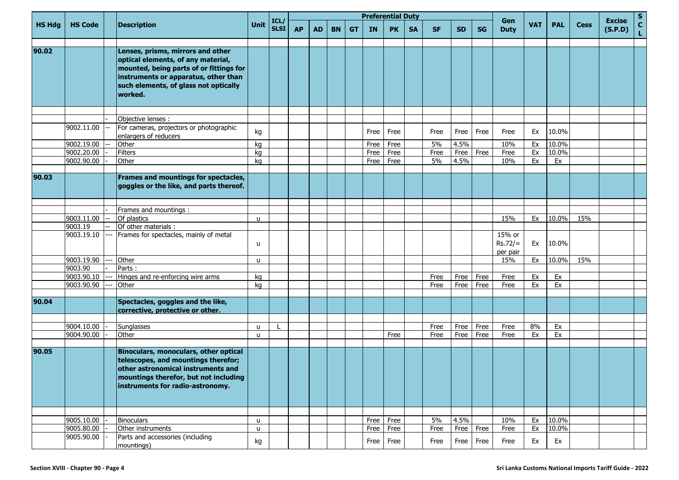|               |                |                                                                                                                                                                                                                |                   |                     |           |           |           |           | <b>Preferential Duty</b> |           |           |           |           |           | Gen                             |            |            |             | <b>Excise</b> | <b>S</b>     |
|---------------|----------------|----------------------------------------------------------------------------------------------------------------------------------------------------------------------------------------------------------------|-------------------|---------------------|-----------|-----------|-----------|-----------|--------------------------|-----------|-----------|-----------|-----------|-----------|---------------------------------|------------|------------|-------------|---------------|--------------|
| <b>HS Hdg</b> | <b>HS Code</b> | <b>Description</b>                                                                                                                                                                                             | <b>Unit</b>       | ICL/<br><b>SLSI</b> | <b>AP</b> | <b>AD</b> | <b>BN</b> | <b>GT</b> | <b>IN</b>                | <b>PK</b> | <b>SA</b> | <b>SF</b> | <b>SD</b> | <b>SG</b> | <b>Duty</b>                     | <b>VAT</b> | <b>PAL</b> | <b>Cess</b> | (S.P.D)       | $\mathbf{C}$ |
| 90.02         |                | Lenses, prisms, mirrors and other<br>optical elements, of any material,<br>mounted, being parts of or fittings for<br>instruments or apparatus, other than<br>such elements, of glass not optically<br>worked. |                   |                     |           |           |           |           |                          |           |           |           |           |           |                                 |            |            |             |               |              |
|               |                |                                                                                                                                                                                                                |                   |                     |           |           |           |           |                          |           |           |           |           |           |                                 |            |            |             |               |              |
|               | 9002.11.00     | Objective lenses :<br>For cameras, projectors or photographic<br>enlargers of reducers                                                                                                                         | kg                |                     |           |           |           |           | Free                     | Free      |           | Free      | Free      | Free      | Free                            | Ex         | 10.0%      |             |               |              |
|               | 9002.19.00     | Other                                                                                                                                                                                                          | kg                |                     |           |           |           |           | Free                     | Free      |           | 5%        | 4.5%      |           | 10%                             | Ex         | 10.0%      |             |               |              |
|               | 9002.20.00     | <b>Filters</b>                                                                                                                                                                                                 | kg                |                     |           |           |           |           | Free                     | Free      |           | Free      | Free      | Free      | Free                            | Ex         | 10.0%      |             |               |              |
|               | 9002.90.00     | Other                                                                                                                                                                                                          | kq                |                     |           |           |           |           | Free                     | Free      |           | 5%        | 4.5%      |           | 10%                             | Ex         | Ex         |             |               |              |
|               |                |                                                                                                                                                                                                                |                   |                     |           |           |           |           |                          |           |           |           |           |           |                                 |            |            |             |               |              |
| 90.03         |                | Frames and mountings for spectacles,<br>goggles or the like, and parts thereof.                                                                                                                                |                   |                     |           |           |           |           |                          |           |           |           |           |           |                                 |            |            |             |               |              |
|               |                |                                                                                                                                                                                                                |                   |                     |           |           |           |           |                          |           |           |           |           |           |                                 |            |            |             |               |              |
|               |                | Frames and mountings :                                                                                                                                                                                         |                   |                     |           |           |           |           |                          |           |           |           |           |           |                                 |            |            |             |               |              |
|               | 9003.11.00     | Of plastics                                                                                                                                                                                                    | u                 |                     |           |           |           |           |                          |           |           |           |           |           | 15%                             | Ex         | 10.0%      | 15%         |               |              |
|               | 9003.19        | Of other materials :                                                                                                                                                                                           |                   |                     |           |           |           |           |                          |           |           |           |           |           |                                 |            |            |             |               |              |
|               | 9003.19.10     | Frames for spectacles, mainly of metal                                                                                                                                                                         | u                 |                     |           |           |           |           |                          |           |           |           |           |           | 15% or<br>$Rs.72/=$<br>per pair | Ex         | 10.0%      |             |               |              |
|               | 9003.19.90     | Other                                                                                                                                                                                                          | u                 |                     |           |           |           |           |                          |           |           |           |           |           | 15%                             | Ex         | 10.0%      | 15%         |               |              |
|               | 9003.90        | Parts:                                                                                                                                                                                                         |                   |                     |           |           |           |           |                          |           |           |           |           |           |                                 |            |            |             |               |              |
|               | 9003.90.10     | Hinges and re-enforcing wire arms                                                                                                                                                                              | kg                |                     |           |           |           |           |                          |           |           | Free      | Free      | Free      | Free                            | Ex         | Ex         |             |               |              |
|               | 9003.90.90     | Other                                                                                                                                                                                                          | kg                |                     |           |           |           |           |                          |           |           | Free      | Free      | Free      | Free                            | Ex         | Ex         |             |               |              |
|               |                |                                                                                                                                                                                                                |                   |                     |           |           |           |           |                          |           |           |           |           |           |                                 |            |            |             |               |              |
| 90.04         |                | Spectacles, goggles and the like,<br>corrective, protective or other.                                                                                                                                          |                   |                     |           |           |           |           |                          |           |           |           |           |           |                                 |            |            |             |               |              |
|               | 9004.10.00     | Sunglasses                                                                                                                                                                                                     |                   |                     |           |           |           |           |                          |           |           | Free      | Free      | Free      | Free                            | 8%         | Ex         |             |               |              |
|               | 9004.90.00     | Other                                                                                                                                                                                                          | u<br>$\mathbf{u}$ |                     |           |           |           |           |                          | Free      |           | Free      | Free      | Free      | Free                            | Ex         | Ex         |             |               |              |
|               |                |                                                                                                                                                                                                                |                   |                     |           |           |           |           |                          |           |           |           |           |           |                                 |            |            |             |               |              |
| 90.05         |                | Binoculars, monoculars, other optical<br>telescopes, and mountings therefor;<br>other astronomical instruments and<br>mountings therefor, but not including<br>instruments for radio-astronomy.                |                   |                     |           |           |           |           |                          |           |           |           |           |           |                                 |            |            |             |               |              |
|               |                |                                                                                                                                                                                                                |                   |                     |           |           |           |           |                          |           |           |           |           |           |                                 |            |            |             |               |              |
|               | 9005.10.00     | <b>Binoculars</b>                                                                                                                                                                                              | u                 |                     |           |           |           |           |                          | Free Free |           | 5%        | 4.5%      |           | 10%                             | Ex         | 10.0%      |             |               |              |
|               | 9005.80.00     | Other instruments                                                                                                                                                                                              | u                 |                     |           |           |           |           |                          | Free Free |           | Free      |           | Free Free | Free                            | Ex         | 10.0%      |             |               |              |
|               | 9005.90.00     | Parts and accessories (including<br>mountings)                                                                                                                                                                 | kg                |                     |           |           |           |           | Free                     | Free      |           | Free      | Free      | Free      | Free                            | Ex         | Ex         |             |               |              |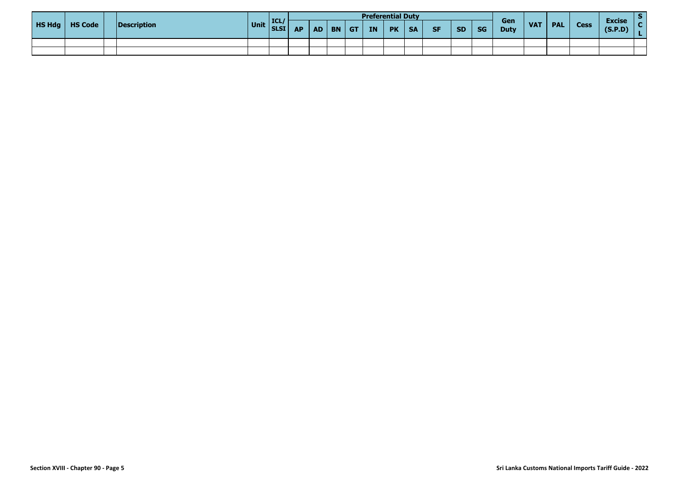|               |                |             |             |      |           |          |           | <b>Preferential Duty</b> |           |           |           |           |           |                    |            |            |             |                          |  |
|---------------|----------------|-------------|-------------|------|-----------|----------|-----------|--------------------------|-----------|-----------|-----------|-----------|-----------|--------------------|------------|------------|-------------|--------------------------|--|
| <b>HS Hdg</b> | <b>HS Code</b> | Description | Unit SLSI A | ICL/ | <b>AP</b> | $AD$ $B$ | <b>GT</b> | <b>IN</b>                | <b>PK</b> | <b>SA</b> | <b>SF</b> | <b>SD</b> | <b>SG</b> | Gen<br><b>Duty</b> | <b>VAT</b> | <b>PAL</b> | <b>Cess</b> | <b>Excise</b><br>(S.P.D) |  |
|               |                |             |             |      |           |          |           |                          |           |           |           |           |           |                    |            |            |             |                          |  |
|               |                |             |             |      |           |          |           |                          |           |           |           |           |           |                    |            |            |             |                          |  |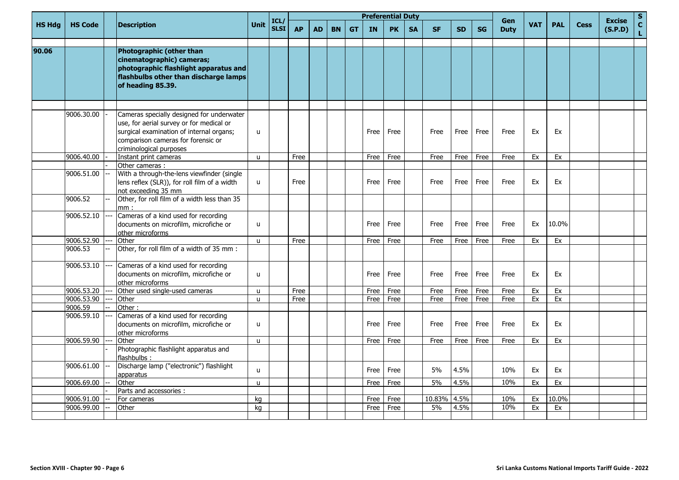| <b>HS Hdg</b><br><b>HS Code</b><br><b>Description</b><br>Photographic (other than<br>90.06<br>cinematographic) cameras;<br>photographic flashlight apparatus and<br>flashbulbs other than discharge lamps<br>of heading 85.39.<br>9006.30.00<br>Cameras specially designed for underwater<br>use, for aerial survey or for medical or<br>surgical examination of internal organs;<br>u<br>comparison cameras for forensic or<br>criminological purposes<br>9006.40.00<br>Instant print cameras<br>$\mathbf{u}$<br>Other cameras :<br>With a through-the-lens viewfinder (single<br>9006.51.00<br>lens reflex (SLR)), for roll film of a width<br>$\mathsf{u}$<br>not exceeding 35 mm<br>9006.52<br>Other, for roll film of a width less than 35<br>mm:<br>Cameras of a kind used for recording<br>9006.52.10<br>documents on microfilm, microfiche or<br>u<br>other microforms<br>9006.52.90<br>Other<br>$\mathsf{u}$<br>9006.53<br>Other, for roll film of a width of 35 mm :<br>Cameras of a kind used for recording<br>9006.53.10<br>documents on microfilm, microfiche or<br>$\mathsf{u}$<br>other microforms<br>9006.53.20<br>Other used single-used cameras<br>$\mathsf{u}$<br>9006.53.90<br>Other<br>$\mathsf{u}$<br>9006.59<br>Other:<br>Cameras of a kind used for recording<br>9006.59.10<br>documents on microfilm, microfiche or<br>$\mathsf{u}$<br>other microforms<br>9006.59.90<br>Other<br>$\mathsf{u}$<br>Photographic flashlight apparatus and<br>lflashbulbs:<br>Discharge lamp ("electronic") flashlight<br>9006.61.00<br>$\mathbf{u}$<br>apparatus | ICL/        |      |           |           |           |           |           | <b>Preferential Duty</b> |           |           |           |           | Gen         |            |            |             | <b>Excise</b> |
|-------------------------------------------------------------------------------------------------------------------------------------------------------------------------------------------------------------------------------------------------------------------------------------------------------------------------------------------------------------------------------------------------------------------------------------------------------------------------------------------------------------------------------------------------------------------------------------------------------------------------------------------------------------------------------------------------------------------------------------------------------------------------------------------------------------------------------------------------------------------------------------------------------------------------------------------------------------------------------------------------------------------------------------------------------------------------------------------------------------------------------------------------------------------------------------------------------------------------------------------------------------------------------------------------------------------------------------------------------------------------------------------------------------------------------------------------------------------------------------------------------------------------------------------------------------------------|-------------|------|-----------|-----------|-----------|-----------|-----------|--------------------------|-----------|-----------|-----------|-----------|-------------|------------|------------|-------------|---------------|
|                                                                                                                                                                                                                                                                                                                                                                                                                                                                                                                                                                                                                                                                                                                                                                                                                                                                                                                                                                                                                                                                                                                                                                                                                                                                                                                                                                                                                                                                                                                                                                         | <b>SLSI</b> | Unit | <b>AP</b> | <b>AD</b> | <b>BN</b> | <b>GT</b> | <b>IN</b> | <b>PK</b>                | <b>SA</b> | <b>SF</b> | <b>SD</b> | <b>SG</b> | <b>Duty</b> | <b>VAT</b> | <b>PAL</b> | <b>Cess</b> | (S.P.D)       |
|                                                                                                                                                                                                                                                                                                                                                                                                                                                                                                                                                                                                                                                                                                                                                                                                                                                                                                                                                                                                                                                                                                                                                                                                                                                                                                                                                                                                                                                                                                                                                                         |             |      |           |           |           |           |           |                          |           |           |           |           |             |            |            |             |               |
|                                                                                                                                                                                                                                                                                                                                                                                                                                                                                                                                                                                                                                                                                                                                                                                                                                                                                                                                                                                                                                                                                                                                                                                                                                                                                                                                                                                                                                                                                                                                                                         |             |      |           |           |           |           | Free      | Free                     |           | Free      | Free      | Free      | Free        | Ex         | Ex         |             |               |
|                                                                                                                                                                                                                                                                                                                                                                                                                                                                                                                                                                                                                                                                                                                                                                                                                                                                                                                                                                                                                                                                                                                                                                                                                                                                                                                                                                                                                                                                                                                                                                         |             |      | Free      |           |           |           | Free      | Free                     |           | Free      | Free      | Free      | Free        | Ex         | Ex         |             |               |
|                                                                                                                                                                                                                                                                                                                                                                                                                                                                                                                                                                                                                                                                                                                                                                                                                                                                                                                                                                                                                                                                                                                                                                                                                                                                                                                                                                                                                                                                                                                                                                         |             |      |           |           |           |           |           |                          |           |           |           |           |             |            |            |             |               |
|                                                                                                                                                                                                                                                                                                                                                                                                                                                                                                                                                                                                                                                                                                                                                                                                                                                                                                                                                                                                                                                                                                                                                                                                                                                                                                                                                                                                                                                                                                                                                                         |             |      | Free      |           |           |           | Free      | Free                     |           | Free      | Free      | Free      | Free        | Ex         | Ex         |             |               |
|                                                                                                                                                                                                                                                                                                                                                                                                                                                                                                                                                                                                                                                                                                                                                                                                                                                                                                                                                                                                                                                                                                                                                                                                                                                                                                                                                                                                                                                                                                                                                                         |             |      |           |           |           |           |           |                          |           |           |           |           |             |            |            |             |               |
|                                                                                                                                                                                                                                                                                                                                                                                                                                                                                                                                                                                                                                                                                                                                                                                                                                                                                                                                                                                                                                                                                                                                                                                                                                                                                                                                                                                                                                                                                                                                                                         |             |      |           |           |           |           | Free      | Free                     |           | Free      | Free      | Free      | Free        | Ex         | 10.0%      |             |               |
|                                                                                                                                                                                                                                                                                                                                                                                                                                                                                                                                                                                                                                                                                                                                                                                                                                                                                                                                                                                                                                                                                                                                                                                                                                                                                                                                                                                                                                                                                                                                                                         |             |      | Free      |           |           |           | Free      | Free                     |           | Free      | Free      | Free      | Free        | Ex         | Ex         |             |               |
|                                                                                                                                                                                                                                                                                                                                                                                                                                                                                                                                                                                                                                                                                                                                                                                                                                                                                                                                                                                                                                                                                                                                                                                                                                                                                                                                                                                                                                                                                                                                                                         |             |      |           |           |           |           |           |                          |           |           |           |           |             |            |            |             |               |
|                                                                                                                                                                                                                                                                                                                                                                                                                                                                                                                                                                                                                                                                                                                                                                                                                                                                                                                                                                                                                                                                                                                                                                                                                                                                                                                                                                                                                                                                                                                                                                         |             |      |           |           |           |           | Free      | Free                     |           | Free      | Free      | Free      | Free        | Ex         | Ex         |             |               |
|                                                                                                                                                                                                                                                                                                                                                                                                                                                                                                                                                                                                                                                                                                                                                                                                                                                                                                                                                                                                                                                                                                                                                                                                                                                                                                                                                                                                                                                                                                                                                                         |             |      | Free      |           |           |           | Free      | Free                     |           | Free      | Free      | Free      | Free        | Ex         | Ex         |             |               |
|                                                                                                                                                                                                                                                                                                                                                                                                                                                                                                                                                                                                                                                                                                                                                                                                                                                                                                                                                                                                                                                                                                                                                                                                                                                                                                                                                                                                                                                                                                                                                                         |             |      | Free      |           |           |           | Free      | Free                     |           | Free      | Free      | Free      | Free        | Ex         | Ex         |             |               |
|                                                                                                                                                                                                                                                                                                                                                                                                                                                                                                                                                                                                                                                                                                                                                                                                                                                                                                                                                                                                                                                                                                                                                                                                                                                                                                                                                                                                                                                                                                                                                                         |             |      |           |           |           |           |           |                          |           |           |           |           |             |            |            |             |               |
|                                                                                                                                                                                                                                                                                                                                                                                                                                                                                                                                                                                                                                                                                                                                                                                                                                                                                                                                                                                                                                                                                                                                                                                                                                                                                                                                                                                                                                                                                                                                                                         |             |      |           |           |           |           | Free      | Free                     |           | Free      | Free      | Free      | Free        | Ex         | Ex         |             |               |
|                                                                                                                                                                                                                                                                                                                                                                                                                                                                                                                                                                                                                                                                                                                                                                                                                                                                                                                                                                                                                                                                                                                                                                                                                                                                                                                                                                                                                                                                                                                                                                         |             |      |           |           |           |           | Free      | Free                     |           | Free      | Free      | Free      | Free        | Ex         | Ex         |             |               |
|                                                                                                                                                                                                                                                                                                                                                                                                                                                                                                                                                                                                                                                                                                                                                                                                                                                                                                                                                                                                                                                                                                                                                                                                                                                                                                                                                                                                                                                                                                                                                                         |             |      |           |           |           |           |           |                          |           |           |           |           |             |            |            |             |               |
|                                                                                                                                                                                                                                                                                                                                                                                                                                                                                                                                                                                                                                                                                                                                                                                                                                                                                                                                                                                                                                                                                                                                                                                                                                                                                                                                                                                                                                                                                                                                                                         |             |      |           |           |           |           | Free      | Free                     |           | 5%        | 4.5%      |           | 10%         | Ex         | Ex         |             |               |
| 9006.69.00<br>Other<br>$\mathbf{u}$                                                                                                                                                                                                                                                                                                                                                                                                                                                                                                                                                                                                                                                                                                                                                                                                                                                                                                                                                                                                                                                                                                                                                                                                                                                                                                                                                                                                                                                                                                                                     |             |      |           |           |           |           | Free      | Free                     |           | 5%        | 4.5%      |           | 10%         | Ex         | Ex         |             |               |
| Parts and accessories :                                                                                                                                                                                                                                                                                                                                                                                                                                                                                                                                                                                                                                                                                                                                                                                                                                                                                                                                                                                                                                                                                                                                                                                                                                                                                                                                                                                                                                                                                                                                                 |             |      |           |           |           |           |           |                          |           |           |           |           |             |            |            |             |               |
| 9006.91.00<br>For cameras<br>kg                                                                                                                                                                                                                                                                                                                                                                                                                                                                                                                                                                                                                                                                                                                                                                                                                                                                                                                                                                                                                                                                                                                                                                                                                                                                                                                                                                                                                                                                                                                                         |             |      |           |           |           |           | Free      | Free                     |           | 10.83%    | 4.5%      |           | 10%         | Ex         | 10.0%      |             |               |
| 9006.99.00<br>Other<br>kg                                                                                                                                                                                                                                                                                                                                                                                                                                                                                                                                                                                                                                                                                                                                                                                                                                                                                                                                                                                                                                                                                                                                                                                                                                                                                                                                                                                                                                                                                                                                               |             |      |           |           |           |           | Free      | Free                     |           | 5%        | 4.5%      |           | 10%         | Ex         | Ex         |             |               |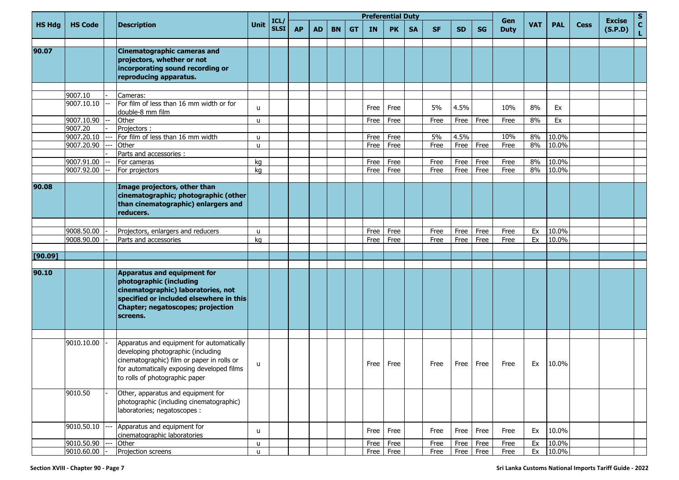|               |                       |                                                                                                                                                                                                               |              |                           |           |           |           |           |           | <b>Preferential Duty</b> |           |           |           |           |                    |            |            |             |                          | S                  |
|---------------|-----------------------|---------------------------------------------------------------------------------------------------------------------------------------------------------------------------------------------------------------|--------------|---------------------------|-----------|-----------|-----------|-----------|-----------|--------------------------|-----------|-----------|-----------|-----------|--------------------|------------|------------|-------------|--------------------------|--------------------|
| <b>HS Hdg</b> | <b>HS Code</b>        | Description                                                                                                                                                                                                   | <b>Unit</b>  | ICL/<br>SLSI <sup> </sup> | <b>AP</b> | <b>AD</b> | <b>BN</b> | <b>GT</b> | <b>IN</b> | <b>PK</b>                | <b>SA</b> | <b>SF</b> | <b>SD</b> | <b>SG</b> | Gen<br><b>Duty</b> | <b>VAT</b> | <b>PAL</b> | <b>Cess</b> | <b>Excise</b><br>(S.P.D) | $\mathbf{C}$<br>L. |
| 90.07         |                       | <b>Cinematographic cameras and</b><br>projectors, whether or not<br>incorporating sound recording or<br>reproducing apparatus.                                                                                |              |                           |           |           |           |           |           |                          |           |           |           |           |                    |            |            |             |                          |                    |
|               |                       |                                                                                                                                                                                                               |              |                           |           |           |           |           |           |                          |           |           |           |           |                    |            |            |             |                          |                    |
|               | 9007.10<br>9007.10.10 | Cameras:<br>For film of less than 16 mm width or for<br>double-8 mm film                                                                                                                                      | u            |                           |           |           |           |           | Free      | Free                     |           | 5%        | 4.5%      |           | 10%                | 8%         | Ex         |             |                          |                    |
|               | 9007.10.90            | Other                                                                                                                                                                                                         | u            |                           |           |           |           |           | Free      | Free                     |           | Free      | Free      | Free      | Free               | 8%         | Ex         |             |                          |                    |
|               | 9007.20               | Projectors:                                                                                                                                                                                                   |              |                           |           |           |           |           |           |                          |           |           |           |           |                    |            |            |             |                          |                    |
|               | 9007.20.10            | For film of less than 16 mm width                                                                                                                                                                             | u            |                           |           |           |           |           | Free      | Free                     |           | 5%        | 4.5%      |           | 10%                | 8%         | 10.0%      |             |                          |                    |
|               | 9007.20.90            | Other                                                                                                                                                                                                         | u            |                           |           |           |           |           | Free      | Free                     |           | Free      | Free      | Free      | Free               | 8%         | 10.0%      |             |                          |                    |
|               |                       | Parts and accessories :                                                                                                                                                                                       |              |                           |           |           |           |           |           |                          |           |           |           |           |                    |            |            |             |                          |                    |
|               | 9007.91.00            | For cameras                                                                                                                                                                                                   | kg           |                           |           |           |           |           | Free      | Free                     |           | Free      | Free      | Free      | Free               | 8%         | 10.0%      |             |                          |                    |
|               | 9007.92.00            | For projectors                                                                                                                                                                                                | kg           |                           |           |           |           |           | Free      | Free                     |           | Free      | Free      | Free      | Free               | 8%         | 10.0%      |             |                          |                    |
| 90.08         |                       | Image projectors, other than                                                                                                                                                                                  |              |                           |           |           |           |           |           |                          |           |           |           |           |                    |            |            |             |                          |                    |
|               |                       | cinematographic; photographic (other<br>than cinematographic) enlargers and<br>reducers.                                                                                                                      |              |                           |           |           |           |           |           |                          |           |           |           |           |                    |            |            |             |                          |                    |
|               |                       |                                                                                                                                                                                                               |              |                           |           |           |           |           |           |                          |           |           |           |           |                    |            |            |             |                          |                    |
|               | 9008.50.00            | Projectors, enlargers and reducers                                                                                                                                                                            | u            |                           |           |           |           |           | Free      | Free                     |           | Free      | Free      | Free      | Free               | Ex         | 10.0%      |             |                          |                    |
|               | 9008.90.00            | Parts and accessories                                                                                                                                                                                         | kg           |                           |           |           |           |           | Free      | Free                     |           | Free      | Free      | Free      | Free               | Ex         | 10.0%      |             |                          |                    |
|               |                       |                                                                                                                                                                                                               |              |                           |           |           |           |           |           |                          |           |           |           |           |                    |            |            |             |                          |                    |
| [90.09]       |                       |                                                                                                                                                                                                               |              |                           |           |           |           |           |           |                          |           |           |           |           |                    |            |            |             |                          |                    |
| 90.10         |                       | Apparatus and equipment for<br>photographic (including<br>cinematographic) laboratories, not<br>specified or included elsewhere in this<br>Chapter; negatoscopes; projection<br>screens.                      |              |                           |           |           |           |           |           |                          |           |           |           |           |                    |            |            |             |                          |                    |
|               |                       |                                                                                                                                                                                                               |              |                           |           |           |           |           |           |                          |           |           |           |           |                    |            |            |             |                          |                    |
|               | 9010.10.00            | Apparatus and equipment for automatically<br>developing photographic (including<br>cinematographic) film or paper in rolls or<br>for automatically exposing developed films<br>to rolls of photographic paper | u            |                           |           |           |           |           | Free      | Free                     |           | Free      | Free      | Free      | Free               | Ex         | 10.0%      |             |                          |                    |
|               | 9010.50               | Other, apparatus and equipment for<br>photographic (including cinematographic)<br>laboratories; negatoscopes :                                                                                                |              |                           |           |           |           |           |           |                          |           |           |           |           |                    |            |            |             |                          |                    |
|               | 9010.50.10            | Apparatus and equipment for<br>cinematographic laboratories                                                                                                                                                   | u            |                           |           |           |           |           | Free      | Free                     |           | Free      | Free      | Free      | Free               | Ex         | 10.0%      |             |                          |                    |
|               | 9010.50.90            | Other                                                                                                                                                                                                         | u            |                           |           |           |           |           | Free      | Free                     |           | Free      | Free      | Free      | Free               | Ex         | 10.0%      |             |                          |                    |
|               | 9010.60.00            | Projection screens                                                                                                                                                                                            | $\mathsf{u}$ |                           |           |           |           |           | Free      | Free                     |           | Free      |           | Free Free | Free               | Ex         | 10.0%      |             |                          |                    |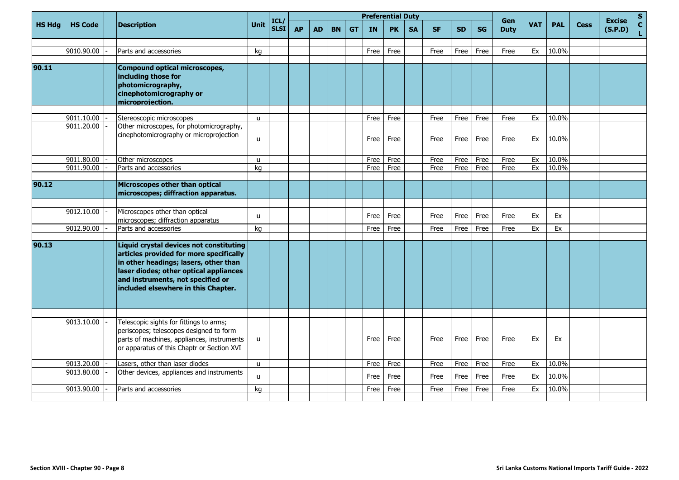|               |                |                                                                                                                                                                                                                                                   |              |                     |           |           |           |           |           | <b>Preferential Duty</b> |           |           |           |           | Gen         |            |            |             | <b>Excise</b> | $\mathbf S$                     |
|---------------|----------------|---------------------------------------------------------------------------------------------------------------------------------------------------------------------------------------------------------------------------------------------------|--------------|---------------------|-----------|-----------|-----------|-----------|-----------|--------------------------|-----------|-----------|-----------|-----------|-------------|------------|------------|-------------|---------------|---------------------------------|
| <b>HS Hdg</b> | <b>HS Code</b> | <b>Description</b>                                                                                                                                                                                                                                | Unit         | ICL/<br><b>SLSI</b> | <b>AP</b> | <b>AD</b> | <b>BN</b> | <b>GT</b> | <b>IN</b> | <b>PK</b>                | <b>SA</b> | <b>SF</b> | <b>SD</b> | <b>SG</b> | <b>Duty</b> | <b>VAT</b> | <b>PAL</b> | <b>Cess</b> | (S.P.D)       | $\frac{\mathsf{c}}{\mathsf{L}}$ |
|               |                |                                                                                                                                                                                                                                                   |              |                     |           |           |           |           |           |                          |           |           |           |           |             |            |            |             |               |                                 |
|               | 9010.90.00     | Parts and accessories                                                                                                                                                                                                                             | kq           |                     |           |           |           |           | Free      | Free                     |           | Free      | Free      | Free      | Free        | Ex         | 10.0%      |             |               |                                 |
| 90.11         |                | <b>Compound optical microscopes,</b><br>including those for<br>photomicrography,<br>cinephotomicrography or<br>microprojection.                                                                                                                   |              |                     |           |           |           |           |           |                          |           |           |           |           |             |            |            |             |               |                                 |
|               | 9011.10.00     | Stereoscopic microscopes                                                                                                                                                                                                                          | $\mathbf{u}$ |                     |           |           |           |           | Free      | Free                     |           | Free      | Free      | Free      | Free        | Ex         | 10.0%      |             |               |                                 |
|               | 9011.20.00     | Other microscopes, for photomicrography,<br>cinephotomicrography or microprojection                                                                                                                                                               | $\mathbf{u}$ |                     |           |           |           |           | Free      | Free                     |           | Free      | Free      | Free      | Free        | Ex         | 10.0%      |             |               |                                 |
|               | 9011.80.00     | Other microscopes                                                                                                                                                                                                                                 | $\mathbf{u}$ |                     |           |           |           |           | Free      | Free                     |           | Free      | Free      | Free      | Free        | Ex         | 10.0%      |             |               |                                 |
|               | 9011.90.00     | Parts and accessories                                                                                                                                                                                                                             | kg           |                     |           |           |           |           | Free      | Free                     |           | Free      | Free      | Free      | Free        | Ex         | 10.0%      |             |               |                                 |
| 90.12         |                | <b>Microscopes other than optical</b><br>microscopes; diffraction apparatus.                                                                                                                                                                      |              |                     |           |           |           |           |           |                          |           |           |           |           |             |            |            |             |               |                                 |
|               | 9012.10.00     | Microscopes other than optical<br>microscopes; diffraction apparatus                                                                                                                                                                              | $\mathbf{u}$ |                     |           |           |           |           | Free      | Free                     |           | Free      | Free      | Free      | Free        | Ex         | Ex         |             |               |                                 |
|               | 9012.90.00     | Parts and accessories                                                                                                                                                                                                                             | ka           |                     |           |           |           |           | Free      | Free                     |           | Free      | Free      | Free      | Free        | Ex         | Ex         |             |               |                                 |
| 90.13         |                | Liquid crystal devices not constituting<br>articles provided for more specifically<br>in other headings; lasers, other than<br>laser diodes; other optical appliances<br>and instruments, not specified or<br>included elsewhere in this Chapter. |              |                     |           |           |           |           |           |                          |           |           |           |           |             |            |            |             |               |                                 |
|               |                |                                                                                                                                                                                                                                                   |              |                     |           |           |           |           |           |                          |           |           |           |           |             |            |            |             |               |                                 |
|               | 9013.10.00     | Telescopic sights for fittings to arms;<br>periscopes; telescopes designed to form<br>parts of machines, appliances, instruments<br>or apparatus of this Chaptr or Section XVI                                                                    | $\mathsf{u}$ |                     |           |           |           |           | Free      | Free                     |           | Free      | Free      | Free      | Free        | Ex         | Ex         |             |               |                                 |
|               | 9013.20.00     | Lasers, other than laser diodes                                                                                                                                                                                                                   | $\mathsf{u}$ |                     |           |           |           |           | Free      | Free                     |           | Free      | Free      | Free      | Free        | Ex         | 10.0%      |             |               |                                 |
|               | 9013.80.00     | Other devices, appliances and instruments                                                                                                                                                                                                         | $\mathbf{u}$ |                     |           |           |           |           | Free      | Free                     |           | Free      | Free      | Free      | Free        | Ex         | 10.0%      |             |               |                                 |
|               | 9013.90.00     | Parts and accessories                                                                                                                                                                                                                             | ka           |                     |           |           |           |           | Free      | Free                     |           | Free      | Free      | Free      | Free        | Ex         | 10.0%      |             |               |                                 |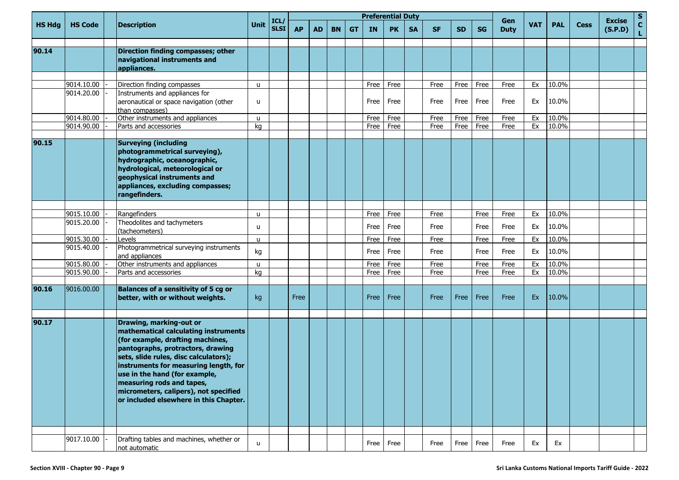|               |                |                                                                                                                                                                                                                                                                                                                                                                             |              |                     |           |           |           |           | <b>Preferential Duty</b> |              |           |              |           |              | Gen          |            |                |             | <b>Excise</b> | S                 |
|---------------|----------------|-----------------------------------------------------------------------------------------------------------------------------------------------------------------------------------------------------------------------------------------------------------------------------------------------------------------------------------------------------------------------------|--------------|---------------------|-----------|-----------|-----------|-----------|--------------------------|--------------|-----------|--------------|-----------|--------------|--------------|------------|----------------|-------------|---------------|-------------------|
| <b>HS Hdg</b> | <b>HS Code</b> | <b>Description</b>                                                                                                                                                                                                                                                                                                                                                          | Unit         | ICL/<br><b>SLSI</b> | <b>AP</b> | <b>AD</b> | <b>BN</b> | <b>GT</b> | <b>IN</b>                | <b>PK</b>    | <b>SA</b> | <b>SF</b>    | <b>SD</b> | <b>SG</b>    | <b>Duty</b>  | <b>VAT</b> | <b>PAL</b>     | <b>Cess</b> | (S.P.D)       | $\mathbf{C}$<br>L |
| 90.14         |                | Direction finding compasses; other                                                                                                                                                                                                                                                                                                                                          |              |                     |           |           |           |           |                          |              |           |              |           |              |              |            |                |             |               |                   |
|               |                | navigational instruments and<br>appliances.                                                                                                                                                                                                                                                                                                                                 |              |                     |           |           |           |           |                          |              |           |              |           |              |              |            |                |             |               |                   |
|               |                |                                                                                                                                                                                                                                                                                                                                                                             |              |                     |           |           |           |           |                          |              |           |              |           |              |              |            |                |             |               |                   |
|               | 9014.10.00     | Direction finding compasses                                                                                                                                                                                                                                                                                                                                                 | u            |                     |           |           |           |           | Free                     | Free         |           | Free         | Free      | Free         | Free         | Ex         | 10.0%          |             |               |                   |
|               | 9014.20.00     | Instruments and appliances for<br>aeronautical or space navigation (other<br>than compasses)                                                                                                                                                                                                                                                                                | u            |                     |           |           |           |           | Free                     | Free         |           | Free         | Free      | Free         | Free         | Ex         | 10.0%          |             |               |                   |
|               | 9014.80.00     | Other instruments and appliances                                                                                                                                                                                                                                                                                                                                            | u            |                     |           |           |           |           | Free                     | Free         |           | Free         | Free      | Free         | Free         | Ex         | 10.0%          |             |               |                   |
|               | 9014.90.00     | Parts and accessories                                                                                                                                                                                                                                                                                                                                                       | kg           |                     |           |           |           |           | Free                     | Free         |           | Free         | Free      | Free         | Free         | Ex         | 10.0%          |             |               |                   |
| 90.15         |                | <b>Surveying (including</b><br>photogrammetrical surveying),<br>hydrographic, oceanographic,<br>hydrological, meteorological or<br>geophysical instruments and<br>appliances, excluding compasses;<br>rangefinders.                                                                                                                                                         |              |                     |           |           |           |           |                          |              |           |              |           |              |              |            |                |             |               |                   |
|               | 9015.10.00     |                                                                                                                                                                                                                                                                                                                                                                             |              |                     |           |           |           |           |                          |              |           |              |           |              |              |            |                |             |               |                   |
|               | 9015.20.00     | Rangefinders<br>Theodolites and tachymeters                                                                                                                                                                                                                                                                                                                                 | u<br>u       |                     |           |           |           |           | Free<br>Free             | Free<br>Free |           | Free<br>Free |           | Free<br>Free | Free<br>Free | Ex<br>Ex   | 10.0%<br>10.0% |             |               |                   |
|               |                | (tacheometers)                                                                                                                                                                                                                                                                                                                                                              |              |                     |           |           |           |           |                          |              |           |              |           |              |              |            |                |             |               |                   |
|               | 9015.30.00     | Levels                                                                                                                                                                                                                                                                                                                                                                      | $\mathsf{u}$ |                     |           |           |           |           | Free                     | Free         |           | Free         |           | Free         | Free         | Ex         | 10.0%          |             |               |                   |
|               | 9015.40.00     | Photogrammetrical surveying instruments<br>and appliances                                                                                                                                                                                                                                                                                                                   | kg           |                     |           |           |           |           | Free                     | Free         |           | Free         |           | Free         | Free         | Ex         | 10.0%          |             |               |                   |
|               | 9015.80.00     | Other instruments and appliances                                                                                                                                                                                                                                                                                                                                            | u            |                     |           |           |           |           | Free                     | Free         |           | Free         |           | Free         | Free         | Ex         | 10.0%          |             |               |                   |
|               | 9015.90.00     | Parts and accessories                                                                                                                                                                                                                                                                                                                                                       | kg           |                     |           |           |           |           | Free                     | Free         |           | Free         |           | Free         | Free         | Ex         | 10.0%          |             |               |                   |
| 90.16         | 9016.00.00     | <b>Balances of a sensitivity of 5 cg or</b><br>better, with or without weights.                                                                                                                                                                                                                                                                                             | kg           |                     | Free      |           |           |           | Free                     | Free         |           | Free         | Free      | Free         | Free         | Ex         | 10.0%          |             |               |                   |
| 90.17         |                | Drawing, marking-out or<br>mathematical calculating instruments<br>(for example, drafting machines,<br>pantographs, protractors, drawing<br>sets, slide rules, disc calculators);<br>instruments for measuring length, for<br>use in the hand (for example,<br>measuring rods and tapes,<br>micrometers, calipers), not specified<br>or included elsewhere in this Chapter. |              |                     |           |           |           |           |                          |              |           |              |           |              |              |            |                |             |               |                   |
|               | 9017.10.00     | Drafting tables and machines, whether or<br>not automatic                                                                                                                                                                                                                                                                                                                   | u            |                     |           |           |           |           |                          | Free Free    |           | Free         | Free      | Free         | Free         | Ex         | Ex             |             |               |                   |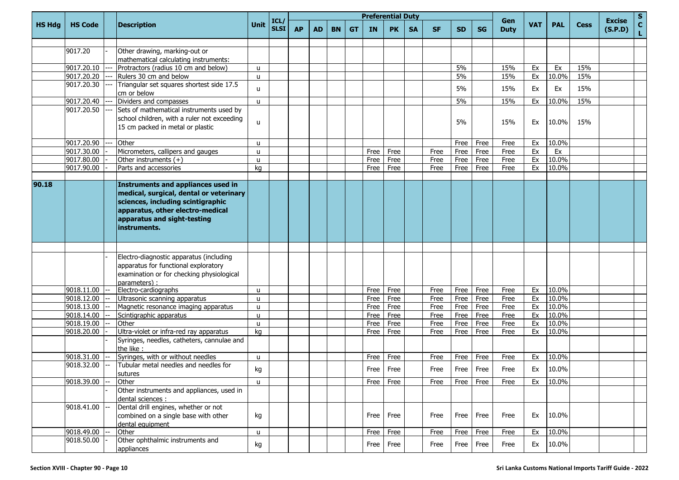|               |                          |                                                                                                                                                                                                       |                   |                           |           |           |           |           |              | <b>Preferential Duty</b> |           |              |              |              |                    |            |                |             |                          |                     |
|---------------|--------------------------|-------------------------------------------------------------------------------------------------------------------------------------------------------------------------------------------------------|-------------------|---------------------------|-----------|-----------|-----------|-----------|--------------|--------------------------|-----------|--------------|--------------|--------------|--------------------|------------|----------------|-------------|--------------------------|---------------------|
| <b>HS Hdg</b> | <b>HS Code</b>           | <b>Description</b>                                                                                                                                                                                    | <b>Unit</b>       | ICL/<br>SLSI <sup> </sup> | <b>AP</b> | <b>AD</b> | <b>BN</b> | <b>GT</b> | <b>IN</b>    | <b>PK</b>                | <b>SA</b> | <b>SF</b>    | <b>SD</b>    | <b>SG</b>    | Gen<br><b>Duty</b> | <b>VAT</b> | <b>PAL</b>     | <b>Cess</b> | <b>Excise</b><br>(S.P.D) | $\frac{s}{c}$<br>L. |
|               |                          |                                                                                                                                                                                                       |                   |                           |           |           |           |           |              |                          |           |              |              |              |                    |            |                |             |                          |                     |
|               | 9017.20                  | Other drawing, marking-out or                                                                                                                                                                         |                   |                           |           |           |           |           |              |                          |           |              |              |              |                    |            |                |             |                          |                     |
|               |                          | mathematical calculating instruments:                                                                                                                                                                 |                   |                           |           |           |           |           |              |                          |           |              |              |              |                    |            |                |             |                          |                     |
|               | 9017.20.10               | Protractors (radius 10 cm and below)                                                                                                                                                                  | u                 |                           |           |           |           |           |              |                          |           |              | 5%           |              | 15%                | Ex         | Ex             | 15%         |                          |                     |
|               | 9017.20.20               | Rulers 30 cm and below                                                                                                                                                                                | u                 |                           |           |           |           |           |              |                          |           |              | 5%           |              | 15%                | Ex         | 10.0%          | 15%         |                          |                     |
|               | 9017.20.30               | Triangular set squares shortest side 17.5                                                                                                                                                             | u                 |                           |           |           |           |           |              |                          |           |              | 5%           |              | 15%                | Ex         | Ex             | 15%         |                          |                     |
|               |                          | cm or below                                                                                                                                                                                           |                   |                           |           |           |           |           |              |                          |           |              |              |              |                    |            |                |             |                          |                     |
|               | 9017.20.40               | Dividers and compasses                                                                                                                                                                                | u                 |                           |           |           |           |           |              |                          |           |              | 5%           |              | 15%                | Ex         | 10.0%          | 15%         |                          |                     |
|               | 9017.20.50               | Sets of mathematical instruments used by                                                                                                                                                              |                   |                           |           |           |           |           |              |                          |           |              |              |              |                    |            |                |             |                          |                     |
|               |                          | school children, with a ruler not exceeding<br>15 cm packed in metal or plastic                                                                                                                       | u                 |                           |           |           |           |           |              |                          |           |              | 5%           |              | 15%                | Ex         | 10.0%          | 15%         |                          |                     |
|               | 9017.20.90               | Other                                                                                                                                                                                                 | u                 |                           |           |           |           |           |              |                          |           |              | Free         | Free         | Free               | Ex         | 10.0%          |             |                          |                     |
|               | 9017.30.00               | Micrometers, callipers and gauges                                                                                                                                                                     | u                 |                           |           |           |           |           | Free         | Free                     |           | Free         | Free         | Free         | Free               | Ex         | Ex             |             |                          |                     |
|               | 9017.80.00               | Other instruments (+)                                                                                                                                                                                 | u                 |                           |           |           |           |           | Free         | Free                     |           | Free         | Free         | Free         | Free               | Ex         | 10.0%          |             |                          |                     |
|               | 9017.90.00               | Parts and accessories                                                                                                                                                                                 | kg                |                           |           |           |           |           | Free         | Free                     |           | Free         | Free         | Free         | Free               | Ex         | 10.0%          |             |                          |                     |
|               |                          |                                                                                                                                                                                                       |                   |                           |           |           |           |           |              |                          |           |              |              |              |                    |            |                |             |                          |                     |
| 90.18         |                          | Instruments and appliances used in<br>medical, surgical, dental or veterinary<br>sciences, including scintigraphic<br>apparatus, other electro-medical<br>apparatus and sight-testing<br>instruments. |                   |                           |           |           |           |           |              |                          |           |              |              |              |                    |            |                |             |                          |                     |
|               |                          |                                                                                                                                                                                                       |                   |                           |           |           |           |           |              |                          |           |              |              |              |                    |            |                |             |                          |                     |
|               |                          | Electro-diagnostic apparatus (including<br>apparatus for functional exploratory<br>examination or for checking physiological<br>parameters) :                                                         |                   |                           |           |           |           |           |              |                          |           |              |              |              |                    |            |                |             |                          |                     |
|               | 9018.11.00<br>9018.12.00 | Electro-cardiographs                                                                                                                                                                                  | u                 |                           |           |           |           |           | Free         | Free                     |           | Free         | Free         | Free         | Free               | Ex<br>Ex   | 10.0%<br>10.0% |             |                          |                     |
|               | 9018.13.00               | Ultrasonic scanning apparatus<br>Magnetic resonance imaging apparatus                                                                                                                                 | u                 |                           |           |           |           |           | Free<br>Free | Free<br>Free             |           | Free<br>Free | Free<br>Free | Free<br>Free | Free<br>Free       | Ex         | 10.0%          |             |                          |                     |
|               | 9018.14.00               | Scintigraphic apparatus                                                                                                                                                                               | u<br>$\mathsf{u}$ |                           |           |           |           |           | Free         | Free                     |           | Free         | Free         | Free         | Free               | Ex         | 10.0%          |             |                          |                     |
|               | 9018.19.00               | Other                                                                                                                                                                                                 | u                 |                           |           |           |           |           | Free         | Free                     |           | Free         | Free         | Free         | Free               | Ex         | 10.0%          |             |                          |                     |
|               | 9018.20.00               | Ultra-violet or infra-red ray apparatus                                                                                                                                                               | kg                |                           |           |           |           |           | Free         | Free                     |           | Free         | Free         | Free         | Free               | Ex         | 10.0%          |             |                          |                     |
|               |                          | Syringes, needles, catheters, cannulae and<br>the like :                                                                                                                                              |                   |                           |           |           |           |           |              |                          |           |              |              |              |                    |            |                |             |                          |                     |
|               | 9018.31.00               | Syringes, with or without needles                                                                                                                                                                     | u                 |                           |           |           |           |           | Free         | Free                     |           | Free         | Free         | Free         | Free               | Ex         | 10.0%          |             |                          |                     |
|               | 9018.32.00               | Tubular metal needles and needles for<br>sutures                                                                                                                                                      | kg                |                           |           |           |           |           |              | Free Free                |           | Free         | Free Free    |              | Free               | Ex         | 10.0%          |             |                          |                     |
|               | 9018.39.00               | Other                                                                                                                                                                                                 | <b>u</b>          |                           |           |           |           |           | Free         | Free                     |           | Free         | Free         | Free         | Free               | Ex         | 10.0%          |             |                          |                     |
|               |                          | Other instruments and appliances, used in<br>dental sciences :                                                                                                                                        |                   |                           |           |           |           |           |              |                          |           |              |              |              |                    |            |                |             |                          |                     |
|               | 9018.41.00               | Dental drill engines, whether or not<br>combined on a single base with other<br>dental equipment                                                                                                      | kg                |                           |           |           |           |           | Free         | Free                     |           | Free         | Free         | Free         | Free               | Ex         | 10.0%          |             |                          |                     |
|               | 9018.49.00               | Other                                                                                                                                                                                                 | $\mathsf{u}$      |                           |           |           |           |           | Free         | Free                     |           | Free         | Free         | Free         | Free               | Ex         | 10.0%          |             |                          |                     |
|               | 9018.50.00               | Other ophthalmic instruments and<br>appliances                                                                                                                                                        | kg                |                           |           |           |           |           | Free         | Free                     |           | Free         |              | Free Free    | Free               | Ex         | 10.0%          |             |                          |                     |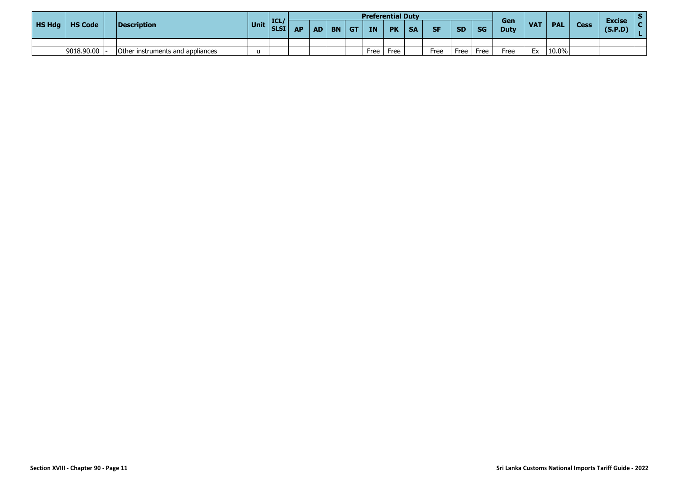|               |                |                                  |              |      |           |      |           |                         | <b>Preferential Duty</b> |           |           |           |           |           |                    |            |            |      |                          |  |
|---------------|----------------|----------------------------------|--------------|------|-----------|------|-----------|-------------------------|--------------------------|-----------|-----------|-----------|-----------|-----------|--------------------|------------|------------|------|--------------------------|--|
| <b>HS Hdg</b> | <b>HS Code</b> | Description                      | Unit SLSI Ar | ICL/ | <b>AP</b> | AD I | <b>BN</b> | $\overline{\mathsf{G}}$ | <b>IN</b>                | <b>PK</b> | <b>SA</b> | <b>SF</b> | <b>SD</b> | <b>SG</b> | Gen<br><b>Duty</b> | <b>VAT</b> | <b>PAL</b> | Cess | <b>Excise</b><br>(S.P.D) |  |
|               |                |                                  |              |      |           |      |           |                         |                          |           |           |           |           |           |                    |            |            |      |                          |  |
|               | 9018.90.00     | Other instruments and appliances | $\mathbf{H}$ |      |           |      |           |                         | Free                     | Free      |           | Free      | Free      | Free      | Free               | Ex         | 10.0%      |      |                          |  |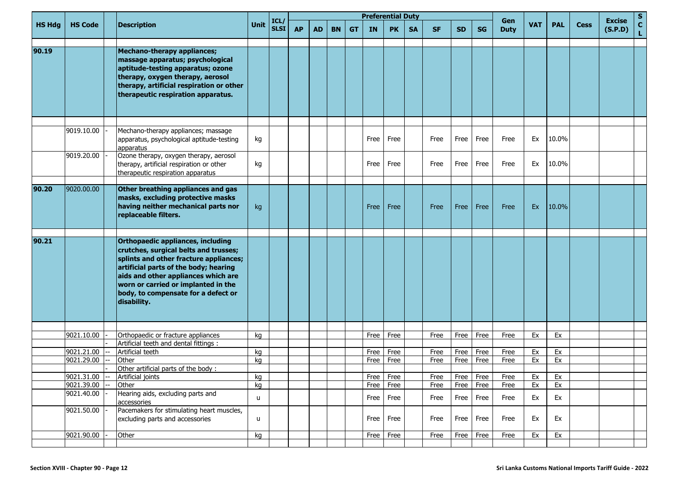|               |                          |                                                                                                                                                                                                                                                                                                   |             | ICL/        |           |           |           |           | <b>Preferential Duty</b> |              |           |              |              |              | Gen          |            |            |             | <b>Excise</b> | s                 |
|---------------|--------------------------|---------------------------------------------------------------------------------------------------------------------------------------------------------------------------------------------------------------------------------------------------------------------------------------------------|-------------|-------------|-----------|-----------|-----------|-----------|--------------------------|--------------|-----------|--------------|--------------|--------------|--------------|------------|------------|-------------|---------------|-------------------|
| <b>HS Hdg</b> | <b>HS Code</b>           | <b>Description</b>                                                                                                                                                                                                                                                                                | <b>Unit</b> | <b>SLSI</b> | <b>AP</b> | <b>AD</b> | <b>BN</b> | <b>GT</b> | <b>IN</b>                | <b>PK</b>    | <b>SA</b> | <b>SF</b>    | <b>SD</b>    | <b>SG</b>    | <b>Duty</b>  | <b>VAT</b> | <b>PAL</b> | <b>Cess</b> | (S.P.D)       | $\mathbf{C}$<br>L |
| 90.19         |                          | Mechano-therapy appliances;<br>massage apparatus; psychological<br>aptitude-testing apparatus; ozone<br>therapy, oxygen therapy, aerosol<br>therapy, artificial respiration or other<br>therapeutic respiration apparatus.                                                                        |             |             |           |           |           |           |                          |              |           |              |              |              |              |            |            |             |               |                   |
|               | 9019.10.00               | Mechano-therapy appliances; massage<br>apparatus, psychological aptitude-testing<br>apparatus                                                                                                                                                                                                     | kg          |             |           |           |           |           | Free                     | Free         |           | Free         | Free         | Free         | Free         | Ex         | 10.0%      |             |               |                   |
|               | 9019.20.00               | Ozone therapy, oxygen therapy, aerosol<br>therapy, artificial respiration or other<br>therapeutic respiration apparatus                                                                                                                                                                           | kg          |             |           |           |           |           | Free                     | Free         |           | Free         | Free         | Free         | Free         | Ex         | 10.0%      |             |               |                   |
| 90.20         | 9020.00.00               | Other breathing appliances and gas<br>masks, excluding protective masks<br>having neither mechanical parts nor<br>replaceable filters.                                                                                                                                                            | kg          |             |           |           |           |           | Free                     | Free         |           | Free         | Free         | Free         | Free         | Ex         | 10.0%      |             |               |                   |
| 90.21         |                          | Orthopaedic appliances, including<br>crutches, surgical belts and trusses;<br>splints and other fracture appliances;<br>artificial parts of the body; hearing<br>aids and other appliances which are<br>worn or carried or implanted in the<br>body, to compensate for a defect or<br>disability. |             |             |           |           |           |           |                          |              |           |              |              |              |              |            |            |             |               |                   |
|               |                          |                                                                                                                                                                                                                                                                                                   |             |             |           |           |           |           |                          |              |           |              |              |              |              |            |            |             |               |                   |
|               | 9021.10.00               | Orthopaedic or fracture appliances<br>Artificial teeth and dental fittings :                                                                                                                                                                                                                      | kg          |             |           |           |           |           | Free                     | Free         |           | Free         | Free         | Free         | Free         | Ex         | Ex         |             |               |                   |
|               | 9021.21.00               | Artificial teeth                                                                                                                                                                                                                                                                                  | kq          |             |           |           |           |           | Free                     | Free         |           | Free         | Free         | Free         | Free         | Ex         | Ex         |             |               |                   |
|               | 9021.29.00               | Other                                                                                                                                                                                                                                                                                             | kg          |             |           |           |           |           | Free                     | Free         |           | Free         | Free         | Free         | Free         | Ex         | Ex         |             |               |                   |
|               |                          | Other artificial parts of the body:                                                                                                                                                                                                                                                               |             |             |           |           |           |           |                          |              |           |              |              |              |              |            |            |             |               |                   |
|               | 9021.31.00               | Artificial joints                                                                                                                                                                                                                                                                                 | kg          |             |           |           |           |           |                          | Free Free    |           | Free         |              | Free Free    | Free         | Ex         | Ex         |             |               |                   |
|               | 9021.39.00<br>9021.40.00 | Other<br>Hearing aids, excluding parts and<br>accessories                                                                                                                                                                                                                                         | kg<br>u     |             |           |           |           |           | Free<br>Free             | Free<br>Free |           | Free<br>Free | Free<br>Free | Free<br>Free | Free<br>Free | Ex<br>Ex   | Ex<br>Ex   |             |               |                   |
|               | 9021.50.00               | Pacemakers for stimulating heart muscles,<br>excluding parts and accessories                                                                                                                                                                                                                      | u           |             |           |           |           |           |                          | Free Free    |           | Free         | Free         | Free         | Free         | Ex         | Ex         |             |               |                   |
|               | 9021.90.00               | Other                                                                                                                                                                                                                                                                                             | kg          |             |           |           |           |           | <b>Free</b>              | Free         |           | Free         | Free         | Free         | Free         | Ex         | Ex         |             |               |                   |
|               |                          |                                                                                                                                                                                                                                                                                                   |             |             |           |           |           |           |                          |              |           |              |              |              |              |            |            |             |               |                   |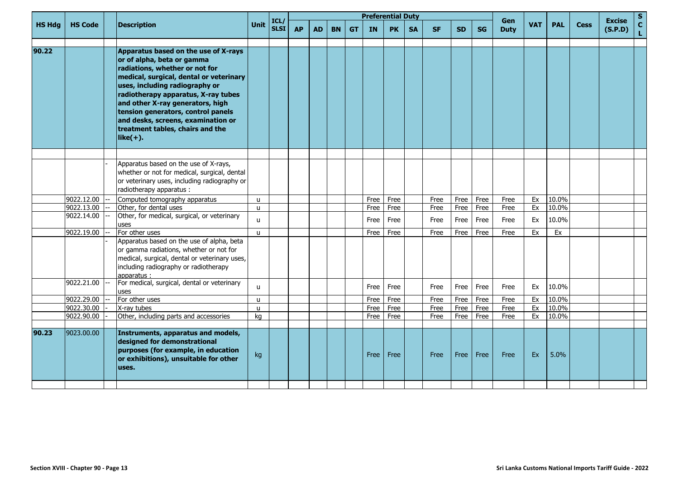| <b>HS Hdg</b><br>90.22 | <b>HS Code</b> | <b>Description</b><br>Apparatus based on the use of X-rays<br>or of alpha, beta or gamma<br>radiations, whether or not for<br>medical, surgical, dental or veterinary<br>uses, including radiography or<br>radiotherapy apparatus, X-ray tubes<br>and other X-ray generators, high<br>tension generators, control panels | Unit         | ICL/<br><b>SLSI</b> | <b>AP</b> | <b>AD</b> | <b>BN</b> | <b>GT</b> | <b>IN</b> | <b>PK</b> | <b>SA</b> | <b>SF</b> | <b>SD</b> | <b>SG</b> | Gen<br><b>Duty</b> | <b>VAT</b> | <b>PAL</b> | <b>Cess</b> | <b>Excise</b><br>(S.P.D) |
|------------------------|----------------|--------------------------------------------------------------------------------------------------------------------------------------------------------------------------------------------------------------------------------------------------------------------------------------------------------------------------|--------------|---------------------|-----------|-----------|-----------|-----------|-----------|-----------|-----------|-----------|-----------|-----------|--------------------|------------|------------|-------------|--------------------------|
|                        |                |                                                                                                                                                                                                                                                                                                                          |              |                     |           |           |           |           |           |           |           |           |           |           |                    |            |            |             |                          |
|                        |                | and desks, screens, examination or<br>treatment tables, chairs and the<br>$like(+).$                                                                                                                                                                                                                                     |              |                     |           |           |           |           |           |           |           |           |           |           |                    |            |            |             |                          |
|                        |                | Apparatus based on the use of X-rays,<br>whether or not for medical, surgical, dental<br>or veterinary uses, including radiography or<br>radiotherapy apparatus :                                                                                                                                                        |              |                     |           |           |           |           |           |           |           |           |           |           |                    |            |            |             |                          |
|                        | 9022.12.00     | Computed tomography apparatus                                                                                                                                                                                                                                                                                            | $\mathsf{u}$ |                     |           |           |           |           | Free      | Free      |           | Free      | Free      | Free      | Free               | Ex         | 10.0%      |             |                          |
|                        | 9022.13.00     | Other, for dental uses                                                                                                                                                                                                                                                                                                   | $\mathsf{u}$ |                     |           |           |           |           | Free      | Free      |           | Free      | Free      | Free      | Free               | Ex         | 10.0%      |             |                          |
|                        | 9022.14.00     | Other, for medical, surgical, or veterinary<br>uses                                                                                                                                                                                                                                                                      | $\mathbf{u}$ |                     |           |           |           |           | Free      | Free      |           | Free      | Free      | Free      | Free               | Ex         | 10.0%      |             |                          |
|                        | 9022.19.00     | For other uses<br>Apparatus based on the use of alpha, beta<br>or gamma radiations, whether or not for<br>medical, surgical, dental or veterinary uses,<br>including radiography or radiotherapy<br>lapparatus :                                                                                                         | $\mathbf{u}$ |                     |           |           |           |           | Free      | Free      |           | Free      | Free      | Free      | Free               | Ex         | Ex         |             |                          |
|                        | 9022.21.00     | For medical, surgical, dental or veterinary<br>uses                                                                                                                                                                                                                                                                      | $\mathbf{u}$ |                     |           |           |           |           | Free      | Free      |           | Free      | Free      | Free      | Free               | Ex         | 10.0%      |             |                          |
|                        | 9022.29.00     | For other uses                                                                                                                                                                                                                                                                                                           | $\mathbf{u}$ |                     |           |           |           |           | Free      | Free      |           | Free      | Free      | Free      | Free               | Ex         | 10.0%      |             |                          |
|                        | 9022.30.00     | X-ray tubes                                                                                                                                                                                                                                                                                                              | $\mathbf{u}$ |                     |           |           |           |           | Free      | Free      |           | Free      | Free      | Free      | Free               | Ex         | 10.0%      |             |                          |
|                        | 9022.90.00     | Other, including parts and accessories                                                                                                                                                                                                                                                                                   | kg           |                     |           |           |           |           | Free      | Free      |           | Free      | Free      | Free      | Free               | Ex         | 10.0%      |             |                          |
| 90.23                  | 9023.00.00     | Instruments, apparatus and models,<br>designed for demonstrational<br>purposes (for example, in education<br>or exhibitions), unsuitable for other<br>uses.                                                                                                                                                              | kg           |                     |           |           |           |           | Free      | Free      |           | Free      | Free      | Free      | Free               | Ex         | 5.0%       |             |                          |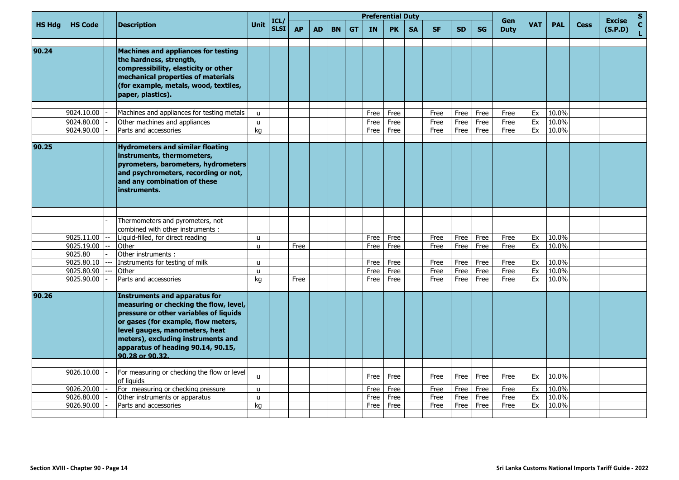|               |                          |                                                                                                                                                                                                                                                                                           |                    |                     |           |           |           |           |              | <b>Preferential Duty</b> |           |              |              |              | Gen          |            |                |             | <b>Excise</b> | S                           |
|---------------|--------------------------|-------------------------------------------------------------------------------------------------------------------------------------------------------------------------------------------------------------------------------------------------------------------------------------------|--------------------|---------------------|-----------|-----------|-----------|-----------|--------------|--------------------------|-----------|--------------|--------------|--------------|--------------|------------|----------------|-------------|---------------|-----------------------------|
| <b>HS Hdg</b> | <b>HS Code</b>           | <b>Description</b>                                                                                                                                                                                                                                                                        | <b>Unit</b>        | ICL/<br><b>SLSI</b> | <b>AP</b> | <b>AD</b> | <b>BN</b> | <b>GT</b> | <b>IN</b>    | <b>PK</b>                | <b>SA</b> | <b>SF</b>    | <b>SD</b>    | <b>SG</b>    | <b>Duty</b>  | <b>VAT</b> | <b>PAL</b>     | <b>Cess</b> | (S.P.D)       | $\mathbf{C}$<br>$\mathbf L$ |
| 90.24         |                          | Machines and appliances for testing<br>the hardness, strength,<br>compressibility, elasticity or other<br>mechanical properties of materials<br>(for example, metals, wood, textiles,<br>paper, plastics).                                                                                |                    |                     |           |           |           |           |              |                          |           |              |              |              |              |            |                |             |               |                             |
|               |                          |                                                                                                                                                                                                                                                                                           |                    |                     |           |           |           |           |              |                          |           |              |              |              |              |            |                |             |               |                             |
|               | 9024.10.00               | Machines and appliances for testing metals                                                                                                                                                                                                                                                | $\mathsf{u}$       |                     |           |           |           |           | Free         | Free                     |           | Free         | Free         | Free         | Free         | Ex         | 10.0%          |             |               |                             |
|               | 9024.80.00               | Other machines and appliances                                                                                                                                                                                                                                                             | $\mathsf{u}$       |                     |           |           |           |           | Free         | Free                     |           | Free         | Free         | Free         | Free         | Ex         | 10.0%          |             |               |                             |
|               | 9024.90.00               | Parts and accessories                                                                                                                                                                                                                                                                     | kg                 |                     |           |           |           |           | Free         | Free                     |           | Free         | Free         | Free         | Free         | Ex         | 10.0%          |             |               |                             |
| 90.25         |                          | <b>Hydrometers and similar floating</b><br>instruments, thermometers,<br>pyrometers, barometers, hydrometers<br>and psychrometers, recording or not,<br>and any combination of these<br>instruments.                                                                                      |                    |                     |           |           |           |           |              |                          |           |              |              |              |              |            |                |             |               |                             |
|               |                          |                                                                                                                                                                                                                                                                                           |                    |                     |           |           |           |           |              |                          |           |              |              |              |              |            |                |             |               |                             |
|               |                          | Thermometers and pyrometers, not<br>combined with other instruments :                                                                                                                                                                                                                     |                    |                     |           |           |           |           |              |                          |           |              |              |              |              |            |                |             |               |                             |
|               | 9025.11.00               | Liquid-filled, for direct reading                                                                                                                                                                                                                                                         | $\mathsf{u}$       |                     |           |           |           |           | Free         | Free                     |           | Free         | Free         | Free         | Free         | Ex         | 10.0%          |             |               |                             |
|               | 9025.19.00               | Other                                                                                                                                                                                                                                                                                     | $\mathsf{u}$       |                     | Free      |           |           |           | Free         | Free                     |           | Free         | Free         | Free         | Free         | Ex         | 10.0%          |             |               |                             |
|               | 9025.80                  | Other instruments :                                                                                                                                                                                                                                                                       |                    |                     |           |           |           |           |              |                          |           |              |              |              |              |            |                |             |               |                             |
|               | 9025.80.10               | Instruments for testing of milk                                                                                                                                                                                                                                                           | $\mathbf{u}$       |                     |           |           |           |           | Free         | Free                     |           | Free         | Free         | Free         | Free         | Ex         | 10.0%          |             |               |                             |
|               | 9025.80.90<br>9025.90.00 | Other<br>Parts and accessories                                                                                                                                                                                                                                                            | $\mathsf{u}$<br>kg |                     | Free      |           |           |           | Free<br>Free | Free<br>Free             |           | Free<br>Free | Free<br>Free | Free<br>Free | Free<br>Free | Ex<br>Ex   | 10.0%<br>10.0% |             |               |                             |
|               |                          |                                                                                                                                                                                                                                                                                           |                    |                     |           |           |           |           |              |                          |           |              |              |              |              |            |                |             |               |                             |
| 90.26         |                          | Instruments and apparatus for<br>measuring or checking the flow, level,<br>pressure or other variables of liquids<br>or gases (for example, flow meters,<br>level gauges, manometers, heat<br>meters), excluding instruments and<br>apparatus of heading 90.14, 90.15,<br>90.28 or 90.32. |                    |                     |           |           |           |           |              |                          |           |              |              |              |              |            |                |             |               |                             |
|               |                          |                                                                                                                                                                                                                                                                                           |                    |                     |           |           |           |           |              |                          |           |              |              |              |              |            |                |             |               |                             |
|               | 9026.10.00               | For measuring or checking the flow or level<br>of liquids                                                                                                                                                                                                                                 | $\mathbf{u}$       |                     |           |           |           |           | Free         | Free                     |           | Free         | Free         | Free         | Free         | Ex         | 10.0%          |             |               |                             |
|               | 9026.20.00               | For measuring or checking pressure                                                                                                                                                                                                                                                        | $\mathsf{u}$       |                     |           |           |           |           | Free         | Free                     |           | Free         | Free         | Free         | Free         | Ex         | 10.0%          |             |               |                             |
|               | 9026.80.00               | Other instruments or apparatus                                                                                                                                                                                                                                                            | u                  |                     |           |           |           |           | Free         | Free                     |           | Free         | Free         | Free         | Free         | Ex         | 10.0%          |             |               |                             |
|               | 9026.90.00               | Parts and accessories                                                                                                                                                                                                                                                                     | kg                 |                     |           |           |           |           | Free         | Free                     |           | Free         | Free         | Free         | Free         | Ex         | 10.0%          |             |               |                             |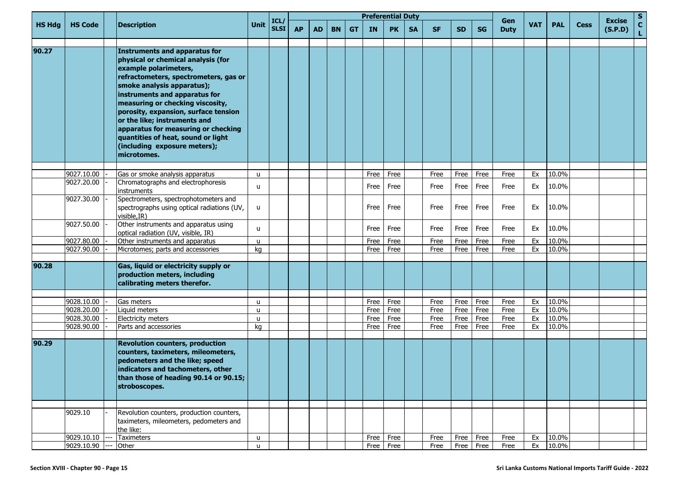|               |                          | <b>Description</b>                                                                                                                                                                                                                                                                                                                                                                                                                                  |                   | ICL         |           |           |           |           | <b>Preferential Duty</b> |              |           |              |              |               | Gen          |            |                |             | <b>Excise</b> | S.                              |
|---------------|--------------------------|-----------------------------------------------------------------------------------------------------------------------------------------------------------------------------------------------------------------------------------------------------------------------------------------------------------------------------------------------------------------------------------------------------------------------------------------------------|-------------------|-------------|-----------|-----------|-----------|-----------|--------------------------|--------------|-----------|--------------|--------------|---------------|--------------|------------|----------------|-------------|---------------|---------------------------------|
| <b>HS Hdg</b> | <b>HS Code</b>           |                                                                                                                                                                                                                                                                                                                                                                                                                                                     | Unit              | <b>SLSI</b> | <b>AP</b> | <b>AD</b> | <b>BN</b> | <b>GT</b> | IN                       | <b>PK</b>    | <b>SA</b> | <b>SF</b>    | <b>SD</b>    | <b>SG</b>     | <b>Duty</b>  | <b>VAT</b> | <b>PAL</b>     | <b>Cess</b> | (S.P.D)       | $\frac{\mathsf{c}}{\mathsf{L}}$ |
| 90.27         |                          | <b>Instruments and apparatus for</b><br>physical or chemical analysis (for<br>example polarimeters,<br>refractometers, spectrometers, gas or<br>smoke analysis apparatus);<br>instruments and apparatus for<br>measuring or checking viscosity,<br>porosity, expansion, surface tension<br>or the like; instruments and<br>apparatus for measuring or checking<br>quantities of heat, sound or light<br>(including exposure meters);<br>microtomes. |                   |             |           |           |           |           |                          |              |           |              |              |               |              |            |                |             |               |                                 |
|               |                          |                                                                                                                                                                                                                                                                                                                                                                                                                                                     |                   |             |           |           |           |           |                          |              |           |              |              |               |              |            |                |             |               |                                 |
|               | 9027.10.00<br>9027.20.00 | Gas or smoke analysis apparatus<br>Chromatographs and electrophoresis<br>instruments                                                                                                                                                                                                                                                                                                                                                                | $\mathsf{u}$<br>u |             |           |           |           |           | Free<br>Free             | Free<br>Free |           | Free<br>Free | Free<br>Free | Free<br>Free  | Free<br>Free | Ex<br>Ex   | 10.0%<br>10.0% |             |               |                                 |
|               | 9027.30.00               | Spectrometers, spectrophotometers and<br>spectrographs using optical radiations (UV,<br>visible, IR)                                                                                                                                                                                                                                                                                                                                                | u                 |             |           |           |           |           | Free                     | Free         |           | Free         | Free         | Free          | Free         | Ex         | 10.0%          |             |               |                                 |
|               | 9027.50.00               | Other instruments and apparatus using<br>optical radiation (UV, visible, IR)                                                                                                                                                                                                                                                                                                                                                                        | u                 |             |           |           |           |           | Free                     | Free         |           | Free         | Free         | Free          | Free         | Ex         | 10.0%          |             |               |                                 |
|               | 9027.80.00               | Other instruments and apparatus                                                                                                                                                                                                                                                                                                                                                                                                                     | $\mathbf{u}$      |             |           |           |           |           | Free                     | Free         |           | Free         | Free         | Free          | Free         | Ex         | 10.0%          |             |               |                                 |
|               | 9027.90.00               | Microtomes; parts and accessories                                                                                                                                                                                                                                                                                                                                                                                                                   | kg                |             |           |           |           |           | Free                     | Free         |           | Free         | Free         | Free          | Free         | Ex         | 10.0%          |             |               |                                 |
| 90.28         |                          | Gas, liquid or electricity supply or<br>production meters, including<br>calibrating meters therefor.                                                                                                                                                                                                                                                                                                                                                |                   |             |           |           |           |           |                          |              |           |              |              |               |              |            |                |             |               |                                 |
|               |                          |                                                                                                                                                                                                                                                                                                                                                                                                                                                     |                   |             |           |           |           |           |                          |              |           |              |              |               |              |            |                |             |               |                                 |
|               | 9028.10.00<br>9028.20.00 | Gas meters<br>Liquid meters                                                                                                                                                                                                                                                                                                                                                                                                                         | $\mathbf{u}$<br>u |             |           |           |           |           | Free<br>Free             | Free<br>Free |           | Free<br>Free | Free<br>Free | Free<br>Free  | Free<br>Free | Ex<br>Ex   | 10.0%<br>10.0% |             |               |                                 |
|               | 9028.30.00               | Electricity meters                                                                                                                                                                                                                                                                                                                                                                                                                                  | $\mathbf{u}$      |             |           |           |           |           | Free                     | Free         |           | Free         | Free         | Free          | Free         | Ex         | 10.0%          |             |               |                                 |
|               | 9028.90.00               | Parts and accessories                                                                                                                                                                                                                                                                                                                                                                                                                               | kg                |             |           |           |           |           | Free                     | Free         |           | Free         | Free         | Free          | Free         | Ex         | 10.0%          |             |               |                                 |
| 90.29         |                          | <b>Revolution counters, production</b><br>counters, taximeters, mileometers,<br>pedometers and the like; speed<br>indicators and tachometers, other<br>than those of heading 90.14 or 90.15;<br>stroboscopes.                                                                                                                                                                                                                                       |                   |             |           |           |           |           |                          |              |           |              |              |               |              |            |                |             |               |                                 |
|               |                          |                                                                                                                                                                                                                                                                                                                                                                                                                                                     |                   |             |           |           |           |           |                          |              |           |              |              |               |              |            |                |             |               |                                 |
|               | 9029.10                  | Revolution counters, production counters,<br>taximeters, mileometers, pedometers and<br>the like:                                                                                                                                                                                                                                                                                                                                                   |                   |             |           |           |           |           |                          |              |           |              |              |               |              |            |                |             |               |                                 |
|               | 9029.10.10               | Taximeters                                                                                                                                                                                                                                                                                                                                                                                                                                          | u                 |             |           |           |           |           |                          | Free Free    |           | Free         | Free         | Free          | Free         | Ex         | 10.0%          |             |               |                                 |
|               | 9029.10.90               | Other                                                                                                                                                                                                                                                                                                                                                                                                                                               | $\mathbf{u}$      |             |           |           |           |           |                          | Free Free    |           | Free         |              | $Free$   Free | Free         | Ex         | 10.0%          |             |               |                                 |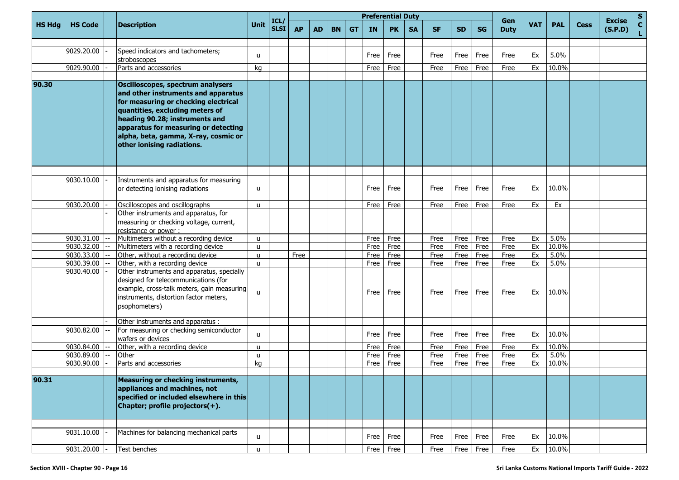|               | <b>HS Code</b> |  | <b>Description</b>                                                                                                                                                                                                                                                                                  |      |                           |           |           |           |           |           | <b>Preferential Duty</b> |           |           |           |           |                    |            |            |             |                          | S.                |
|---------------|----------------|--|-----------------------------------------------------------------------------------------------------------------------------------------------------------------------------------------------------------------------------------------------------------------------------------------------------|------|---------------------------|-----------|-----------|-----------|-----------|-----------|--------------------------|-----------|-----------|-----------|-----------|--------------------|------------|------------|-------------|--------------------------|-------------------|
| <b>HS Hdg</b> |                |  |                                                                                                                                                                                                                                                                                                     | Unit | ICL/<br>SLSI <sup> </sup> | <b>AP</b> | <b>AD</b> | <b>BN</b> | <b>GT</b> | <b>IN</b> | <b>PK</b>                | <b>SA</b> | <b>SF</b> | <b>SD</b> | <b>SG</b> | Gen<br><b>Duty</b> | <b>VAT</b> | <b>PAL</b> | <b>Cess</b> | <b>Excise</b><br>(S.P.D) | $\mathbf c$<br>L. |
|               |                |  |                                                                                                                                                                                                                                                                                                     |      |                           |           |           |           |           |           |                          |           |           |           |           |                    |            |            |             |                          |                   |
|               | 9029.20.00     |  | Speed indicators and tachometers;<br>stroboscopes                                                                                                                                                                                                                                                   | u    |                           |           |           |           |           | Free      | Free                     |           | Free      | Free      | Free      | Free               | Ex         | 5.0%       |             |                          |                   |
|               | 9029.90.00     |  | Parts and accessories                                                                                                                                                                                                                                                                               | kg   |                           |           |           |           |           | Free      | Free                     |           | Free      | Free      | Free      | Free               | Ex         | 10.0%      |             |                          |                   |
| 90.30         |                |  | Oscilloscopes, spectrum analysers<br>and other instruments and apparatus<br>for measuring or checking electrical<br>quantities, excluding meters of<br>heading 90.28; instruments and<br>apparatus for measuring or detecting<br>alpha, beta, gamma, X-ray, cosmic or<br>other ionising radiations. |      |                           |           |           |           |           |           |                          |           |           |           |           |                    |            |            |             |                          |                   |
|               |                |  |                                                                                                                                                                                                                                                                                                     |      |                           |           |           |           |           |           |                          |           |           |           |           |                    |            |            |             |                          |                   |
|               | 9030.10.00     |  | Instruments and apparatus for measuring<br>or detecting ionising radiations                                                                                                                                                                                                                         | u    |                           |           |           |           |           | Free      | Free                     |           | Free      | Free      | Free      | Free               | Ex         | 10.0%      |             |                          |                   |
|               | 9030.20.00     |  | Oscilloscopes and oscillographs                                                                                                                                                                                                                                                                     | u    |                           |           |           |           |           | Free      | Free                     |           | Free      | Free      | Free      | Free               | Ex         | Ex         |             |                          |                   |
|               |                |  | Other instruments and apparatus, for<br>measuring or checking voltage, current,<br>resistance or power:                                                                                                                                                                                             |      |                           |           |           |           |           |           |                          |           |           |           |           |                    |            |            |             |                          |                   |
|               | 9030.31.00     |  | Multimeters without a recording device                                                                                                                                                                                                                                                              | u    |                           |           |           |           |           | Free      | Free                     |           | Free      | Free      | Free      | Free               | Ex         | 5.0%       |             |                          |                   |
|               | 9030.32.00     |  | Multimeters with a recording device                                                                                                                                                                                                                                                                 | u    |                           |           |           |           |           | Free      | Free                     |           | Free      | Free      | Free      | Free               | Ex         | 10.0%      |             |                          |                   |
|               | 9030.33.00     |  | Other, without a recording device                                                                                                                                                                                                                                                                   | u    |                           | Free      |           |           |           | Free      | Free                     |           | Free      | Free      | Free      | Free               | Ex         | 5.0%       |             |                          |                   |
|               | 9030.39.00     |  | Other, with a recording device                                                                                                                                                                                                                                                                      | u    |                           |           |           |           |           | Free      | Free                     |           | Free      | Free      | Free      | Free               | Ex         | 5.0%       |             |                          |                   |
|               | 9030.40.00     |  | Other instruments and apparatus, specially<br>designed for telecommunications (for<br>example, cross-talk meters, gain measuring<br>instruments, distortion factor meters,<br>psophometers)                                                                                                         | u    |                           |           |           |           |           | Free      | Free                     |           | Free      | Free      | Free      | Free               | Ex         | 10.0%      |             |                          |                   |
|               |                |  | Other instruments and apparatus :                                                                                                                                                                                                                                                                   |      |                           |           |           |           |           |           |                          |           |           |           |           |                    |            |            |             |                          |                   |
|               | 9030.82.00     |  | For measuring or checking semiconductor<br>wafers or devices                                                                                                                                                                                                                                        | u    |                           |           |           |           |           | Free      | Free                     |           | Free      | Free      | Free      | Free               | Ex         | 10.0%      |             |                          |                   |
|               | 9030.84.00     |  | Other, with a recording device                                                                                                                                                                                                                                                                      | u    |                           |           |           |           |           | Free      | Free                     |           | Free      | Free      | Free      | Free               | Ex         | 10.0%      |             |                          |                   |
|               | 9030.89.00     |  | Other                                                                                                                                                                                                                                                                                               | u    |                           |           |           |           |           | Free      | Free                     |           | Free      | Free      | Free      | Free               | Ex         | 5.0%       |             |                          |                   |
|               | 9030.90.00     |  | Parts and accessories                                                                                                                                                                                                                                                                               | kg   |                           |           |           |           |           | Free      | Free                     |           | Free      | Free      | Free      | Free               | Ex         | 10.0%      |             |                          |                   |
| 90.31         |                |  | Measuring or checking instruments,<br>appliances and machines, not<br>specified or included elsewhere in this<br>Chapter; profile projectors(+).                                                                                                                                                    |      |                           |           |           |           |           |           |                          |           |           |           |           |                    |            |            |             |                          |                   |
|               | 9031.10.00     |  | Machines for balancing mechanical parts                                                                                                                                                                                                                                                             |      |                           |           |           |           |           |           |                          |           |           |           |           |                    |            |            |             |                          |                   |
|               |                |  |                                                                                                                                                                                                                                                                                                     | u    |                           |           |           |           |           | Free      | Free                     |           | Free      | Free      | Free      | Free               | Ex         | 10.0%      |             |                          |                   |
|               | 9031.20.00     |  | Test benches                                                                                                                                                                                                                                                                                        | u    |                           |           |           |           |           | Free      | Free                     |           | Free      | Free      | Free      | Free               | Ex         | 10.0%      |             |                          |                   |